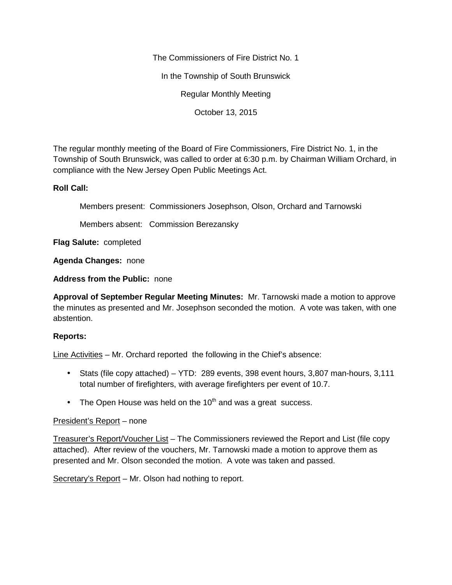The Commissioners of Fire District No. 1

In the Township of South Brunswick

Regular Monthly Meeting

October 13, 2015

The regular monthly meeting of the Board of Fire Commissioners, Fire District No. 1, in the Township of South Brunswick, was called to order at 6:30 p.m. by Chairman William Orchard, in compliance with the New Jersey Open Public Meetings Act.

## **Roll Call:**

Members present: Commissioners Josephson, Olson, Orchard and Tarnowski

Members absent: Commission Berezansky

**Flag Salute:** completed

**Agenda Changes:** none

**Address from the Public:** none

**Approval of September Regular Meeting Minutes:** Mr. Tarnowski made a motion to approve the minutes as presented and Mr. Josephson seconded the motion. A vote was taken, with one abstention.

## **Reports:**

Line Activities – Mr. Orchard reported the following in the Chief's absence:

- Stats (file copy attached) YTD: 289 events, 398 event hours, 3,807 man-hours, 3,111 total number of firefighters, with average firefighters per event of 10.7.
- $\bullet$  The Open House was held on the 10<sup>th</sup> and was a great success.

## President's Report – none

Treasurer's Report/Voucher List – The Commissioners reviewed the Report and List (file copy attached). After review of the vouchers, Mr. Tarnowski made a motion to approve them as presented and Mr. Olson seconded the motion. A vote was taken and passed.

Secretary's Report – Mr. Olson had nothing to report.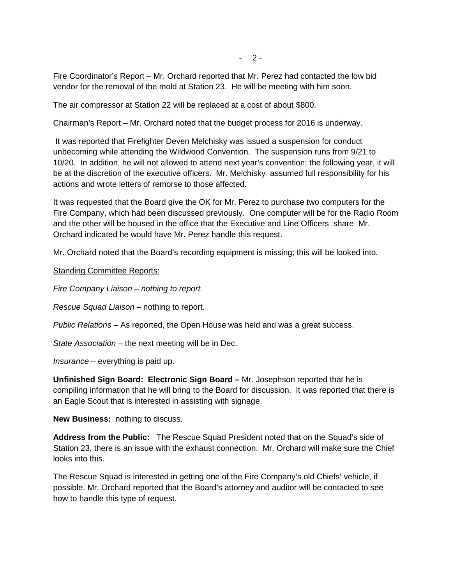$-2-$ 

Fire Coordinator's Report – Mr. Orchard reported that Mr. Perez had contacted the low bid vendor for the removal of the mold at Station 23. He will be meeting with him soon.

The air compressor at Station 22 will be replaced at a cost of about \$800.

Chairman's Report – Mr. Orchard noted that the budget process for 2016 is underway.

It was reported that Firefighter Deven Melchisky was issued a suspension for conduct unbecoming while attending the Wildwood Convention. The suspension runs from 9/21 to 10/20. In addition, he will not allowed to attend next year's convention; the following year, it will be at the discretion of the executive officers. Mr. Melchisky assumed full responsibility for his actions and wrote letters of remorse to those affected.

It was requested that the Board give the OK for Mr. Perez to purchase two computers for the Fire Company, which had been discussed previously. One computer will be for the Radio Room and the other will be housed in the office that the Executive and Line Officers share Mr. Orchard indicated he would have Mr. Perez handle this request.

Mr. Orchard noted that the Board's recording equipment is missing; this will be looked into.

Standing Committee Reports:

*Fire Company Liaison – nothing to report.*

*Rescue Squad Liaison –* nothing to report.

*Public Relations –* As reported, the Open House was held and was a great success.

*State Association –* the next meeting will be in Dec.

*Insurance –* everything is paid up.

**Unfinished Sign Board: Electronic Sign Board –** Mr. Josephson reported that he is compiling information that he will bring to the Board for discussion. It was reported that there is an Eagle Scout that is interested in assisting with signage.

**New Business:** nothing to discuss.

**Address from the Public:** The Rescue Squad President noted that on the Squad's side of Station 23, there is an issue with the exhaust connection. Mr. Orchard will make sure the Chief looks into this.

The Rescue Squad is interested in getting one of the Fire Company's old Chiefs' vehicle, if possible. Mr. Orchard reported that the Board's attorney and auditor will be contacted to see how to handle this type of request.